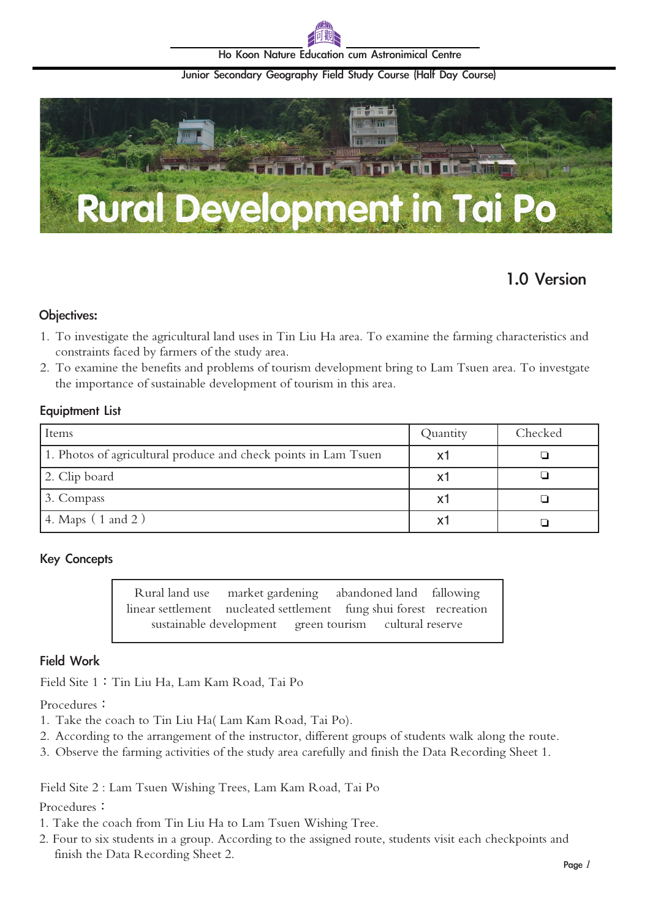

Ho Koon Nature Education cum Astronimical Centre

#### Junior Secondary Geography Field Study Course (Half Day Course)



# 1.0 Version

#### Objectives:

- 1. To investigate the agricultural land uses in Tin Liu Ha area. To examine the farming characteristics and constraints faced by farmers of the study area.
- 2. To examine the benefits and problems of tourism development bring to Lam Tsuen area. To investgate the importance of sustainable development of tourism in this area.

#### Equiptment List

| Items                                                           | Quantity | Checked |
|-----------------------------------------------------------------|----------|---------|
| 1. Photos of agricultural produce and check points in Lam Tsuen | X1       |         |
| 2. Clip board                                                   | X1       |         |
| 3. Compass                                                      | X1       |         |
| (4. Maps (1 and 2))                                             | x٦       |         |

### Key Concepts

Rural land use market gardening abandoned land fallowing linear settlement nucleated settlement fung shui forest recreation sustainable development green tourism cultural reserve

## Field Work

Field Site 1: Tin Liu Ha, Lam Kam Road, Tai Po

Procedures:

- 1. Take the coach to Tin Liu Ha( Lam Kam Road, Tai Po).
- 2. According to the arrangement of the instructor, different groups of students walk along the route.
- 3. Observe the farming activities of the study area carefully and finish the Data Recording Sheet 1.

Field Site 2 : Lam Tsuen Wishing Trees, Lam Kam Road, Tai Po

#### Procedures:

- 1. Take the coach from Tin Liu Ha to Lam Tsuen Wishing Tree.
- 2. Four to six students in a group. According to the assigned route, students visit each checkpoints and finish the Data Recording Sheet 2.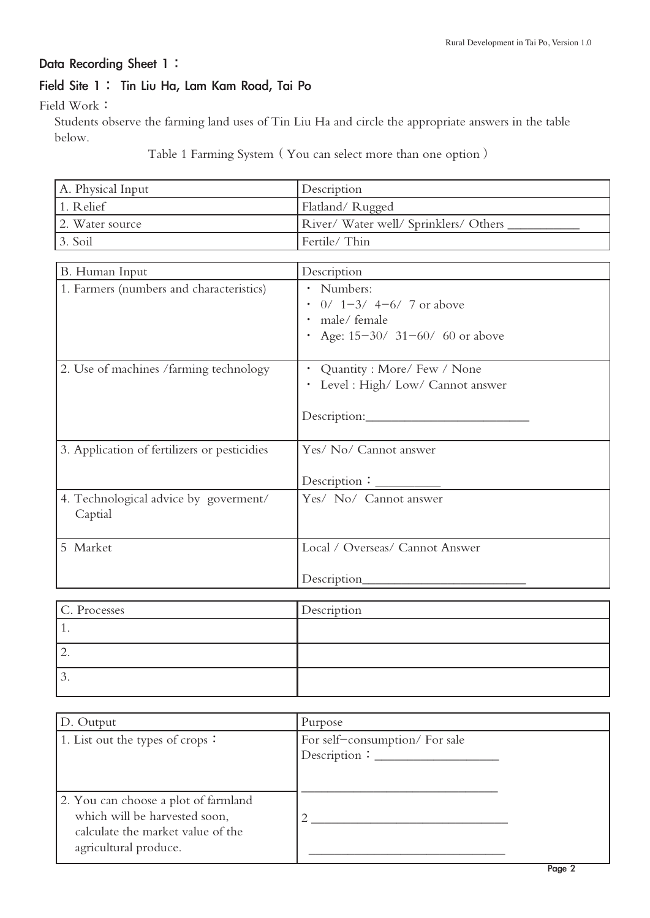# Data Recording Sheet 1:

# Field Site 1: Tin Liu Ha, Lam Kam Road, Tai Po

Field Work:

 Students observe the farming land uses of Tin Liu Ha and circle the appropriate answers in the table below.

Table 1 Farming System(You can select more than one option)

| A. Physical Input                            | Description                        |
|----------------------------------------------|------------------------------------|
| 1. Relief                                    | Flatland/Rugged                    |
| 2. Water source                              | River/Water well/Sprinklers/Others |
| 3. Soil                                      | Fertile/Thin                       |
|                                              |                                    |
| B. Human Input                               | Description                        |
| 1. Farmers (numbers and characteristics)     | · Numbers:                         |
|                                              | $\cdot$ 0/ 1-3/ 4-6/ 7 or above    |
|                                              | · male/ female                     |
|                                              | • Age: 15-30/ 31-60/ 60 or above   |
|                                              |                                    |
| 2. Use of machines /farming technology       | • Quantity : More/ Few / None      |
|                                              | · Level : High/ Low/ Cannot answer |
|                                              |                                    |
|                                              |                                    |
|                                              |                                    |
| 3. Application of fertilizers or pesticidies | Yes/ No/ Cannot answer             |
|                                              |                                    |
|                                              | Description:                       |
| 4. Technological advice by goverment/        | Yes/ No/ Cannot answer             |
| Captial                                      |                                    |
|                                              |                                    |
| 5 Market                                     | Local / Overseas/ Cannot Answer    |
|                                              |                                    |
|                                              |                                    |
|                                              |                                    |
| C. Processes                                 | Description                        |
|                                              |                                    |

| C. Processes | Description |
|--------------|-------------|
| . .          |             |
| <u>.</u>     |             |
| J.           |             |

| D. Output                            | Purpose                       |
|--------------------------------------|-------------------------------|
| 1. List out the types of crops:      | For self-consumption/For sale |
|                                      |                               |
|                                      |                               |
| 2. You can choose a plot of farmland |                               |
| which will be harvested soon,        |                               |
| calculate the market value of the    |                               |
| agricultural produce.                |                               |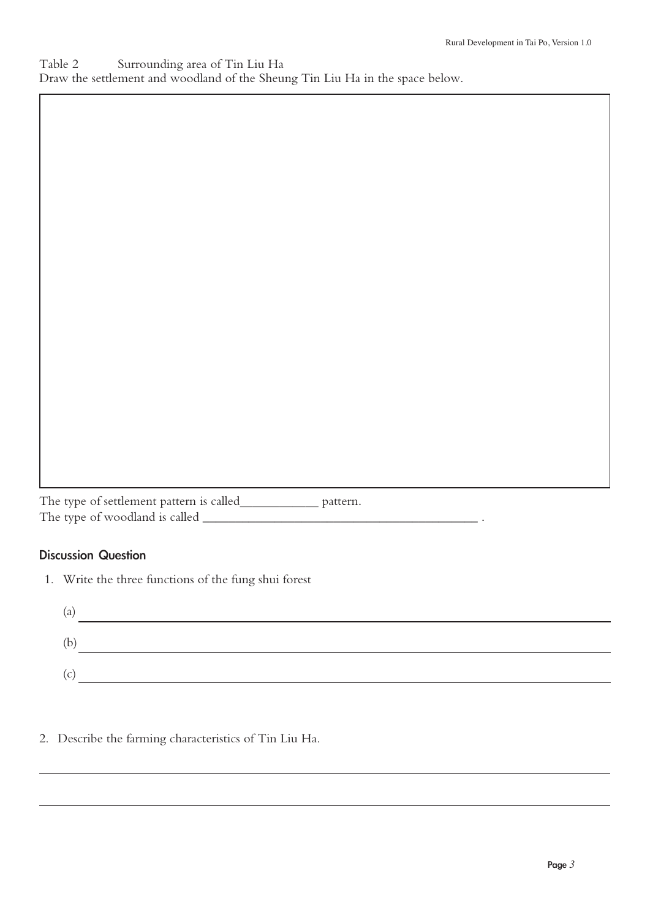| Table 2 | Surrounding area of Tin Liu Ha                                                |  |  |
|---------|-------------------------------------------------------------------------------|--|--|
|         | Draw the settlement and woodland of the Sheung Tin Liu Ha in the space below. |  |  |

The type of settlement pattern is called\_\_\_\_\_\_ pattern. The type of woodland is called \_\_\_\_\_\_\_\_\_\_\_\_\_\_\_\_\_\_\_\_\_\_\_\_\_\_\_\_\_\_\_\_\_\_\_\_\_\_\_\_\_\_ .

# Discussion Question

1. Write the three functions of the fung shui forest

| $\mathbf u$ |  |
|-------------|--|
| (b)         |  |
|             |  |

2. Describe the farming characteristics of Tin Liu Ha.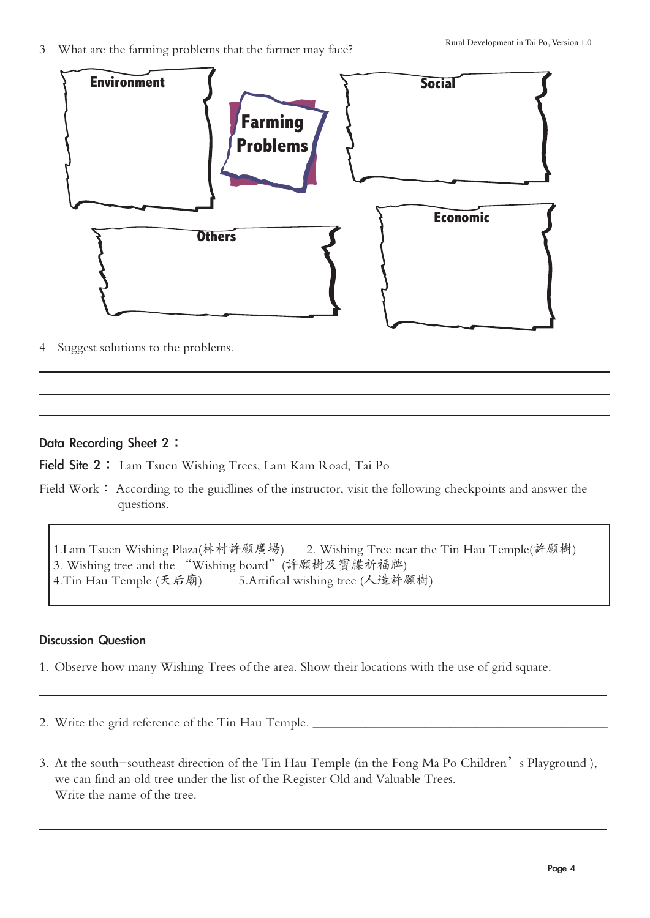3 What are the farming problems that the farmer may face?



4 Suggest solutions to the problems.

### Data Recording Sheet 2:

Field Site 2: Lam Tsuen Wishing Trees, Lam Kam Road, Tai Po

Field Work: According to the guidlines of the instructor, visit the following checkpoints and answer the questions.

1.Lam Tsuen Wishing Plaza(林村許願廣場) 2. Wishing Tree near the Tin Hau Temple(許願樹) 3. Wishing tree and the "Wishing board"(許願樹及寶牒祈福牌) 4.Tin Hau Temple (天后廟) 5.Artifical wishing tree (人造許願樹)

### Discussion Question

- 1. Observe how many Wishing Trees of the area. Show their locations with the use of grid square.
- 2. Write the grid reference of the Tin Hau Temple.
- 3. At the south-southeast direction of the Tin Hau Temple (in the Fong Ma Po Children's Playground), we can find an old tree under the list of the Register Old and Valuable Trees. Write the name of the tree.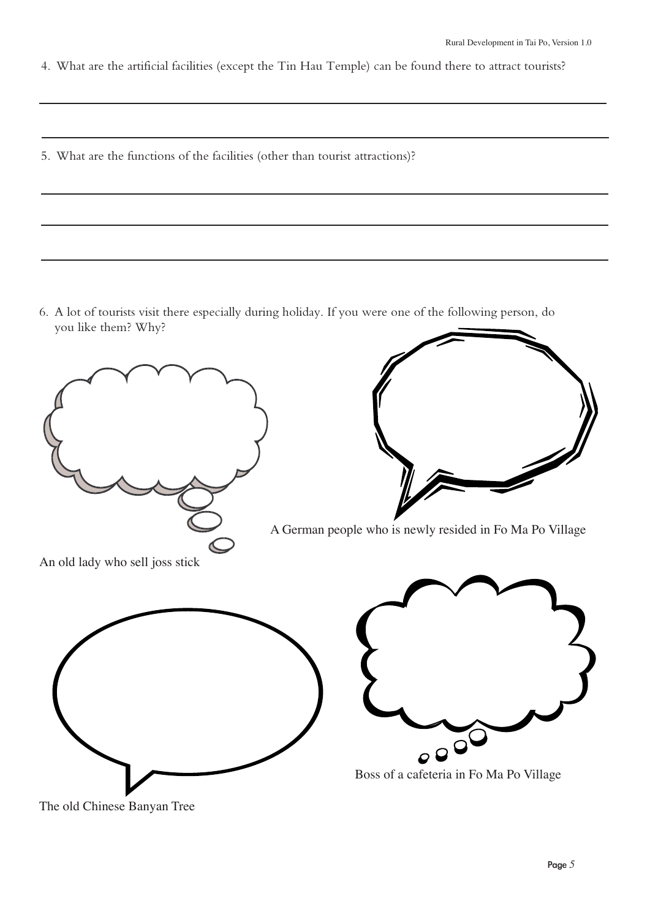4. What are the artificial facilities (except the Tin Hau Temple) can be found there to attract tourists?

5. What are the functions of the facilities (other than tourist attractions)?

6. A lot of tourists visit there especially during holiday. If you were one of the following person, do you like them? Why?



The old Chinese Banyan Tree